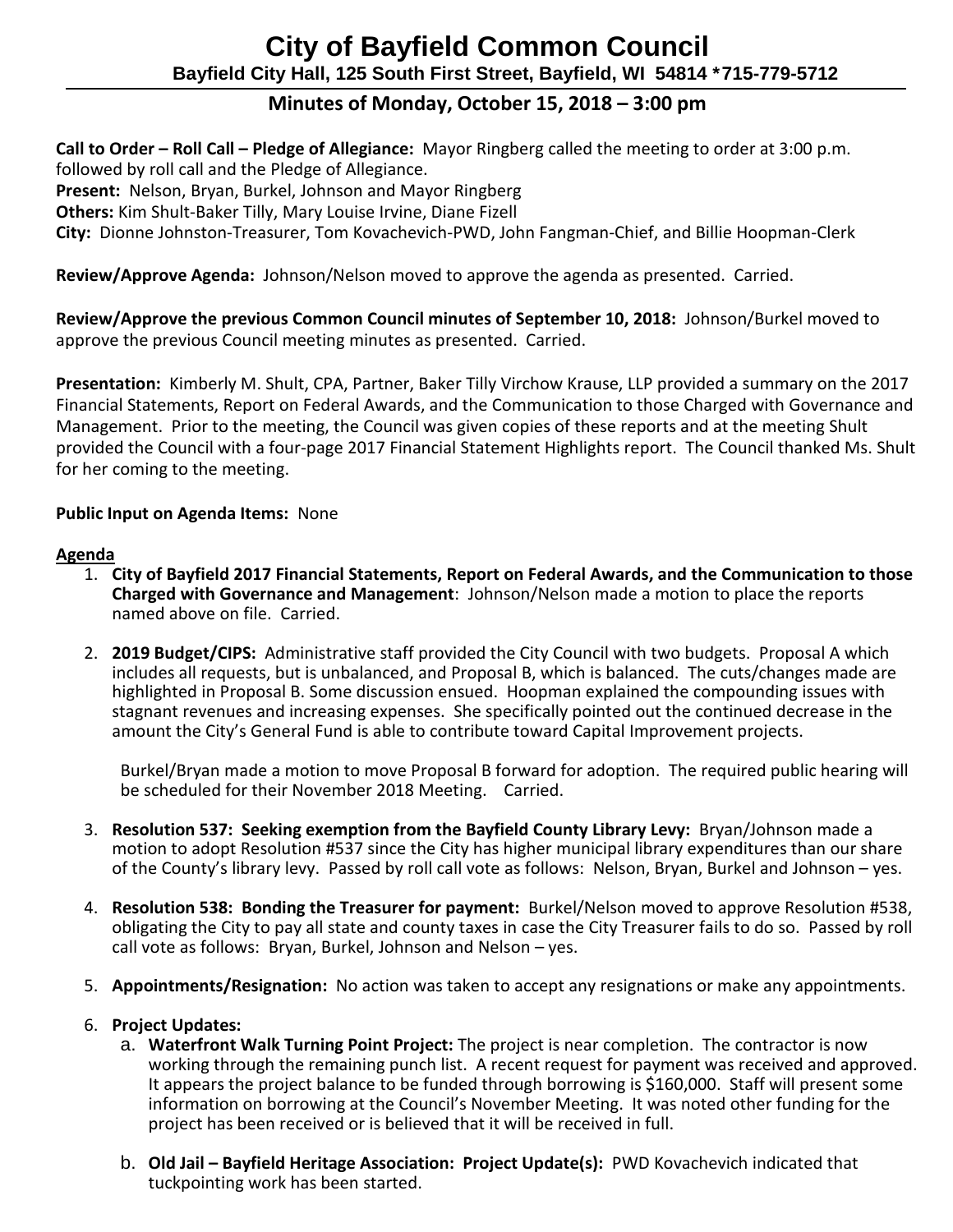# **City of Bayfield Common Council Bayfield City Hall, 125 South First Street, Bayfield, WI 54814 \*715-779-5712**

# **Minutes of Monday, October 15, 2018 – 3:00 pm**

**Call to Order – Roll Call – Pledge of Allegiance:** Mayor Ringberg called the meeting to order at 3:00 p.m.

followed by roll call and the Pledge of Allegiance.

**Present:** Nelson, Bryan, Burkel, Johnson and Mayor Ringberg

**Others:** Kim Shult-Baker Tilly, Mary Louise Irvine, Diane Fizell

**City:** Dionne Johnston-Treasurer, Tom Kovachevich-PWD, John Fangman-Chief, and Billie Hoopman-Clerk

**Review/Approve Agenda:** Johnson/Nelson moved to approve the agenda as presented. Carried.

**Review/Approve the previous Common Council minutes of September 10, 2018:** Johnson/Burkel moved to approve the previous Council meeting minutes as presented. Carried.

**Presentation:** Kimberly M. Shult, CPA, Partner, Baker Tilly Virchow Krause, LLP provided a summary on the 2017 Financial Statements, Report on Federal Awards, and the Communication to those Charged with Governance and Management. Prior to the meeting, the Council was given copies of these reports and at the meeting Shult provided the Council with a four-page 2017 Financial Statement Highlights report. The Council thanked Ms. Shult for her coming to the meeting.

# **Public Input on Agenda Items:** None

## **Agenda**

- 1. **City of Bayfield 2017 Financial Statements, Report on Federal Awards, and the Communication to those Charged with Governance and Management**: Johnson/Nelson made a motion to place the reports named above on file. Carried.
- 2. **2019 Budget/CIPS:** Administrative staff provided the City Council with two budgets. Proposal A which includes all requests, but is unbalanced, and Proposal B, which is balanced. The cuts/changes made are highlighted in Proposal B. Some discussion ensued. Hoopman explained the compounding issues with stagnant revenues and increasing expenses. She specifically pointed out the continued decrease in the amount the City's General Fund is able to contribute toward Capital Improvement projects.

Burkel/Bryan made a motion to move Proposal B forward for adoption. The required public hearing will be scheduled for their November 2018 Meeting. Carried.

- 3. **Resolution 537: Seeking exemption from the Bayfield County Library Levy:** Bryan/Johnson made a motion to adopt Resolution #537 since the City has higher municipal library expenditures than our share of the County's library levy. Passed by roll call vote as follows: Nelson, Bryan, Burkel and Johnson – yes.
- 4. **Resolution 538: Bonding the Treasurer for payment:** Burkel/Nelson moved to approve Resolution #538, obligating the City to pay all state and county taxes in case the City Treasurer fails to do so. Passed by roll call vote as follows: Bryan, Burkel, Johnson and Nelson – yes.
- 5. **Appointments/Resignation:** No action was taken to accept any resignations or make any appointments.

## 6. **Project Updates:**

- a. **Waterfront Walk Turning Point Project:** The project is near completion. The contractor is now working through the remaining punch list. A recent request for payment was received and approved. It appears the project balance to be funded through borrowing is \$160,000. Staff will present some information on borrowing at the Council's November Meeting. It was noted other funding for the project has been received or is believed that it will be received in full.
- b. **Old Jail – Bayfield Heritage Association: Project Update(s):** PWD Kovachevich indicated that tuckpointing work has been started.